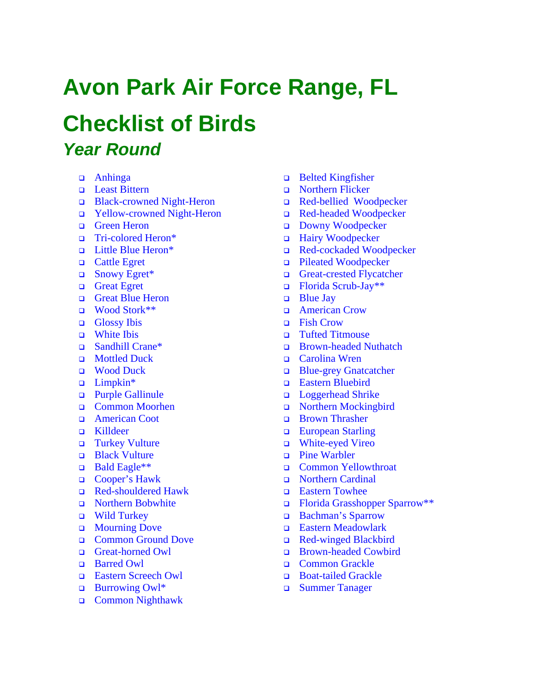# **Avon Park Air Force Range, FL**

## **Checklist of Birds**  *Year Round*

- Anhinga
- D Least Bittern
- □ Black-crowned Night-Heron
- Yellow-crowned Night-Heron
- Green Heron
- Tri-colored Heron\*
- Little Blue Heron\*
- **Q** Cattle Egret
- □ Snowy Egret<sup>\*</sup>
- **Great Egret**
- Great Blue Heron
- Wood Stork<sup>\*\*</sup>
- Glossy Ibis
- **u** White Ibis
- □ Sandhill Crane<sup>\*</sup>
- **D** Mottled Duck
- **u** Wood Duck
- $\Box$  Limpkin\*
- **D** Purple Gallinule
- Common Moorhen
- American Coot
- G Killdeer
- Turkey Vulture
- **Black Vulture**
- Bald Eagle\*\*
- □ Cooper's Hawk
- Red-shouldered Hawk
- **Northern Bobwhite**
- Wild Turkey
- **D** Mourning Dove
- Common Ground Dove
- Great-horned Owl
- **Barred Owl**
- □ Eastern Screech Owl
- Burrowing Owl\*
- □ Common Nighthawk
- □ Belted Kingfisher
- □ Northern Flicker
- Red-bellied Woodpecker
- Red-headed Woodpecker
- Downy Woodpecker
- □ Hairy Woodpecker
- Red-cockaded Woodpecker
- Pileated Woodpecker
- Great-crested Flycatcher
- $\Box$  Florida Scrub-Jay\*\*
- $\Box$  Blue Jay
- **Example 2** American Crow
- □ Fish Crow
- Tufted Titmouse
- **Brown-headed Nuthatch**
- Carolina Wren
- Blue-grey Gnatcatcher
- Eastern Bluebird
- D Loggerhead Shrike
- Northern Mockingbird
- Brown Thrasher
- **European Starling**
- White-eyed Vireo
- Pine Warbler
- Common Yellowthroat
- Northern Cardinal
- Eastern Towhee
- Florida Grasshopper Sparrow\*\*
- □ Bachman's Sparrow
- **Eastern Meadowlark**
- Red-winged Blackbird
- □ Brown-headed Cowbird
- **Common Grackle**
- Boat-tailed Grackle
- Summer Tanager